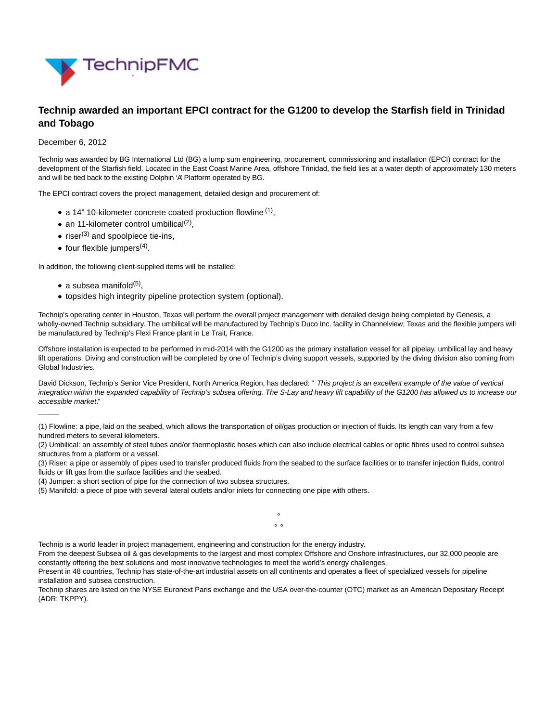

## **Technip awarded an important EPCI contract for the G1200 to develop the Starfish field in Trinidad and Tobago**

## December 6, 2012

Technip was awarded by BG International Ltd (BG) a lump sum engineering, procurement, commissioning and installation (EPCI) contract for the development of the Starfish field. Located in the East Coast Marine Area, offshore Trinidad, the field lies at a water depth of approximately 130 meters and will be tied back to the existing Dolphin 'A' Platform operated by BG.

The EPCI contract covers the project management, detailed design and procurement of:

- a 14" 10-kilometer concrete coated production flowline <sup>(1)</sup>,
- an 11-kilometer control umbilical<sup>(2)</sup>,
- $\bullet$  riser<sup>(3)</sup> and spoolpiece tie-ins,
- four flexible jumpers<sup>(4)</sup>.

In addition, the following client-supplied items will be installed:

a subsea manifold<sup>(5)</sup>,

 $\overline{\phantom{a}}$ 

topsides high integrity pipeline protection system (optional).

Technip's operating center in Houston, Texas will perform the overall project management with detailed design being completed by Genesis, a wholly-owned Technip subsidiary. The umbilical will be manufactured by Technip's Duco Inc. facility in Channelview, Texas and the flexible jumpers will be manufactured by Technip's Flexi France plant in Le Trait, France.

Offshore installation is expected to be performed in mid-2014 with the G1200 as the primary installation vessel for all pipelay, umbilical lay and heavy lift operations. Diving and construction will be completed by one of Technip's diving support vessels, supported by the diving division also coming from Global Industries.

David Dickson, Technip's Senior Vice President, North America Region, has declared: " This project is an excellent example of the value of vertical integration within the expanded capability of Technip's subsea offering. The S-Lay and heavy lift capability of the G1200 has allowed us to increase our accessible market."

°  $\circ$   $\circ$ 

<sup>(1)</sup> Flowline: a pipe, laid on the seabed, which allows the transportation of oil/gas production or injection of fluids. Its length can vary from a few hundred meters to several kilometers.

<sup>(2)</sup> Umbilical: an assembly of steel tubes and/or thermoplastic hoses which can also include electrical cables or optic fibres used to control subsea structures from a platform or a vessel.

<sup>(3)</sup> Riser: a pipe or assembly of pipes used to transfer produced fluids from the seabed to the surface facilities or to transfer injection fluids, control fluids or lift gas from the surface facilities and the seabed.

<sup>(4)</sup> Jumper: a short section of pipe for the connection of two subsea structures.

<sup>(5)</sup> Manifold: a piece of pipe with several lateral outlets and/or inlets for connecting one pipe with others.

Technip is a world leader in project management, engineering and construction for the energy industry.

From the deepest Subsea oil & gas developments to the largest and most complex Offshore and Onshore infrastructures, our 32,000 people are constantly offering the best solutions and most innovative technologies to meet the world's energy challenges.

Present in 48 countries, Technip has state-of-the-art industrial assets on all continents and operates a fleet of specialized vessels for pipeline installation and subsea construction.

Technip shares are listed on the NYSE Euronext Paris exchange and the USA over-the-counter (OTC) market as an American Depositary Receipt (ADR: TKPPY).